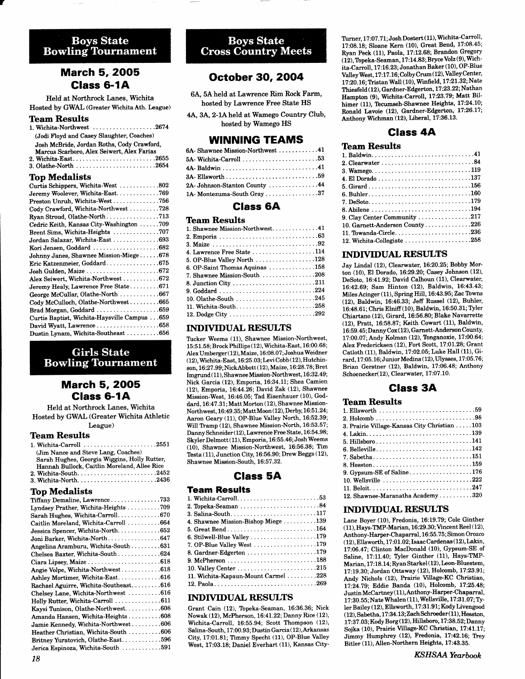# **Boys State**<br>Bowling Tournament

# March 5, 2OO5 Class 6-1A

Held at Northrock Lanes, Wichita Hosted by GWAL (Greater Wichita Ath. League)

## Team Results

| 1. Wichita-Northwest $\ldots \ldots \ldots \ldots \ldots 2674$ |
|----------------------------------------------------------------|
| (Jodi Floyd and Casey Slaughter, Coaches)                      |
| Josh McBride, Jordan Roths, Cody Crawford,                     |
| Marcus Scarboro, Alex Seiwert, Alex Farias                     |
| 2. Wichita-East2655                                            |
|                                                                |

#### Top Medalists

| Curtis Schippers, Wichita-West 802           |
|----------------------------------------------|
| Jeremy Woolever, Wichita-East769             |
| Preston Unruh, Wichita-West756               |
| Cody Crawford, Wichita-Northwest 728         |
|                                              |
| Cedric Keith, Kansas City-Washington 709     |
| Brent Sims, Wichita-Heights 707              |
| Jordan Salazar, Wichita-East 693             |
| Kori Jensen, Goddard 682                     |
| Johnny Janes, Shawnee Mission-Miege678       |
| Eric Katzenmeier, Goddard675                 |
| Josh Gulden, Maize 672                       |
| Alex Seiwert, Wichita-Northwest  672         |
| Jeremy Healy, Lawrence Free State671         |
| George McCullar, Olathe-North 667            |
| Cody McCulloch, Olathe-Northwest665          |
| Brad Morgan, Goddard 659                     |
| Curtis Baptist, Wichita-Haysville Campus 659 |
| David Wyatt, Lawrence658                     |
| Dustin Lynam, Wichita-Southeast 656          |
|                                              |

# **Girls State Bowling Tournament**

# March 5, 2OO5 Glass 6-1A

Held at Northrock Lanes, Wichita Hosted by GWAL (Greater Wichita Athletic League)

#### Team Results

| 1. Wichita-Carroll 2551                      |  |
|----------------------------------------------|--|
| (Jim Nance and Steve Lang, Coaches)          |  |
| Sarah Hughes, Georgia Wiggins, Holly Rutter, |  |
| Hannah Bullock, Caitlin Moreland, Allee Rice |  |
| 2. Wichita-South2452                         |  |
| 3. Wichita-North2436                         |  |

#### **Top Medalists**

| . <del></del>                          |
|----------------------------------------|
| Tiffany Demaline, Lawrence733          |
| Lyndsey Prather, Wichita-Heights 709   |
| Sarah Hughes, Wichita-Carroll670       |
| Caitlin Moreland, Wichita-Carroll 664  |
| Jessica Spencer, Wichita-North652      |
| Joni Barker, Wichita-North647          |
| Angelina Aramburu, Wichita-South 631   |
| Chelsea Baxter, Wichita-South 624      |
|                                        |
| Angie Volpe, Wichita-Northwest618      |
| Ashley Mortimer, Wichita-East616       |
| Rachael Aguirre, Wichita-Southeast 616 |
| Chelsey Lane, Wichita-Northwest  616   |
| Holly Rutter, Wichita-Carroll 611      |
| Kaysi Tunison, Olathe-Northwest608     |
| Amanda Hansen, Wichita-Heights608      |
| Jamie Kennedy, Wichita-Northwest606    |
| Heather Christian, Wichita-South 606   |
| Britney Yuratovich, Olathe-East596     |
| Jerica Espinoza, Wichita-South 591     |
|                                        |

# **Boys State**<br>Cross Country Meets

# October 30, 2OO4

6A, 5A held at Lawrence Rim Rock Farm, hosted by Lawrence Free State HS

4A, 3A, 2-1A held at Wamego Country Club, hosted by Wamego HS

## WINNING TEAMS

| 6A- Shawnee Mission-Northwest 41 |  |
|----------------------------------|--|
|                                  |  |
|                                  |  |
|                                  |  |
| 2A Johnson-Stanton County 44     |  |
| 1A-Montezuma-South Gray37        |  |

## Glass 6A

#### Team Results

| 1. Shawnee Mission-Northwest41 |  |
|--------------------------------|--|
|                                |  |
|                                |  |
| 4. Lawrence Free State 114     |  |
| 5. OP-Blue Valley North 128    |  |
| 6. OP-Saint Thomas Aquinas 158 |  |
| 7. Shawnee Mission-South 208   |  |
|                                |  |
|                                |  |
| 10. Olathe-South 245           |  |
| 11. Wichita-South258           |  |
|                                |  |

## INDIVIDUAL RESULTS

Tucker Weems (11), Shawnee Mission-Northwest, 15:51.58; Brock Phillips (12), Wichita-East, 16:00.68; Alex Umberget (12),Matze, 16:08.07; Joshua Weidner ( 12), Wichita-East, 16:25.03; Levi Cobb ( 12), Hutchinson, 16:27.99; NickAbbott (12), Maize, 16:28.78; Bret Imgrund (11), Shawnee Mission-Northwest,I6:32.49; Nick Garcia (12), Emporia, 16:34.11; Shea Camien (12), Emporia, 16:44.26; David Zak (12), Shawnee Mission-West, 16:46.05; Tad Eisenhauer (10), Goddard, 16:47.31; Matt Morton (12), Shawnee Mission-Northwest, 16:49.35; Matt Moon (12), Derby, 16:51.24; Aaron Geary (11), OP-Blue Valley North, 16:52.39; Will Tramp (12), Shawnee Mission-North, 16:53.57; Danny Schneider(12), Lawrence Free State, 16:54.98; Skyler Delmott (11), Emporia, 16:55.46; Josh Weems (10), Shawnee Miesion-Northwest, 16:56.38; Tim Tbsta (11), Junction City, 16:56.90; Drew Beggs (12), Shawnee Mission-South, 16:57 .32.

# Glass 5A

#### Team Results

| 3. Salina-South117                  |
|-------------------------------------|
| 4. Shawnee Mission-Bishop Miege 139 |
| 5. Great Bend164                    |
| 6. Stilwell-Blue Valley 179         |
| 7. OP-Blue Valley West 179          |
| 8. Gardner-Edgerton 179             |
|                                     |
|                                     |
| 11. Wichita-Kapaun-Mount Carmel 228 |
|                                     |

#### INDIVIDUAL RESULTS

Grant Cain (12), Tbpeka-Seaman, 16:36.36; Nick Nowak (12), McPherson,16:4I.22; Danny Rice (12), Wichita-Carroll, 16:55.94; Scott Thompson (12), Salina-South, 17:00.93; Dustin Garcia (12),Arkansas City, 1?:01.81; Timmy Specht (11), OP-Blue Valley West, 17:03.18; Daniel Everhart (11), Kansas CityTurner, 17:07.71; Josh Dostert (11), Wichita-Carroll, 17:08.18; Sloane Kern (10), Great Bend, 17:08.45; Ryan Peck (11), Paola, 17.12.68; Brandon Gregory (12), Topeka-Seaman, 17:14.83; Bryce Volz (9), Wichita-Carroll, 1?:16.23; Jonathan Baker (10), OP-BIue ValleyWest, 1?:17.16; ColbyCnrm (12), ValleyCenter, U:20.t6; Tristan Wall (10), Winfield, 17:21.32; Nate Thiesfeld (12), Gardner-Edgerton, 17:23.22; Nathan Hampton (9), Wichita-Carroll, 17:23.79; Matt Bilhimer (11), Tecumseh-Shawnee Heights, 17:24.10; Ronald Lavoie (12), Gardner-Edgerton, 17:26.17; Anthony Wichman (12), Liberd, 17:36.13.

# Glass 4A

#### Ibam Results

| 3. Wamego119                   |
|--------------------------------|
| 4. El Dorado 137               |
|                                |
|                                |
|                                |
|                                |
| 9. Clay Center Community 217   |
| 10. Garnett-Anderson County226 |
| 11. Towanda-Circle236          |
| 12. Wichita-Collegiate 258     |
|                                |

#### INDIVIDUAL RESULTS

Jay Lindal (12), Clearwater, 16:20.25; Bobby Morton (10), El Dorado, L6:29.20; Casey Johnson (12), DeSoto, I6:4L.92; David Calhoun (11), Clearwater, L642.69; Sam Hinton (12), Baldwin, 16:43.43; Miles Acinger (11), Spring Hill, 16:43.95; Zac Towns (12), Baldwin, 16:46.33; Jeff Russel (12), Buhler, 16:48.61; Chris Elniff (10), Baldwin, 16:50.31; Tyler Chiartano (12), Girard, 16:56.80; Blake Navarrette (12), Pratt, 16:58.87; Keith Cowart (11), Baldwin, 16:59.45; Danny Cox ( 12), Gamett-Anderson County, 17:00.07; Andy Kolman (12), Tonganoxie, 17:00.64; Alex Fredericksen (12), Fort Scott, 17:01.28; Grant Catloth (11), Baldwin, 17:02.05; Luke Hall (11), Girard, 17:05.16; Junior Medina (12), Ulysses, 17:05.76; Brian Gerstner (12), Baldwin, L7.06.48; Anthony Schoenecker(12), Clearwater, 17:07.10.

# Glass 3A

#### **Team Results**

#### INDTVTDUAL RESULTS

Lane Boyer (10), Fredonia, 16:19.79; Cole Ginther (11), Hays-TMP-Marian, 16:29.30; Vincent Reel ( 12), Anthony-Harper-Chaparral, 16:55. 75; Simon Orozco (12), Ellsworth, 17:01.02; Isaac Cardenas (12), Lakin, 17:06.47; Clinton MacDonald (10), Gypsum-SE of Saline, 17:11.40; Tyler Ginther  $(11)$ , Hays-TMP-Marian, 1?:18.14; Ryan Starkel ( 12), Leon-Bluestem, 17:19.30; Jordan Ottaway (12), Holcomb, 17:23.91; Andy Nichols (12), Prairie Village-KC Christian, t7:24.79; Eddie Banda (10), Holcomb, 17:25.48; Justin McCartney ( 11 ), Anthony-Harper-Chaparral, 17:30.55; Nate Whalen (11), Wellsville, 17:31.07; Tyler Bailey (12), Ellsworth, 17:31.91; Kody Livengood (12), Sabetha, 17 :34.13;ZachSchmeder ( 11), Hesston, 17:37.03; KodyBorg(12), Hillsboro, 17:38.52; Danny Sojka (10), Prairie Village-KC Christian, 17:41.17; Jimmy Humphrey (12), Fredonia, 17:42.16; Trey Bitler (11), Allen-Northern Heights, 17:43.35.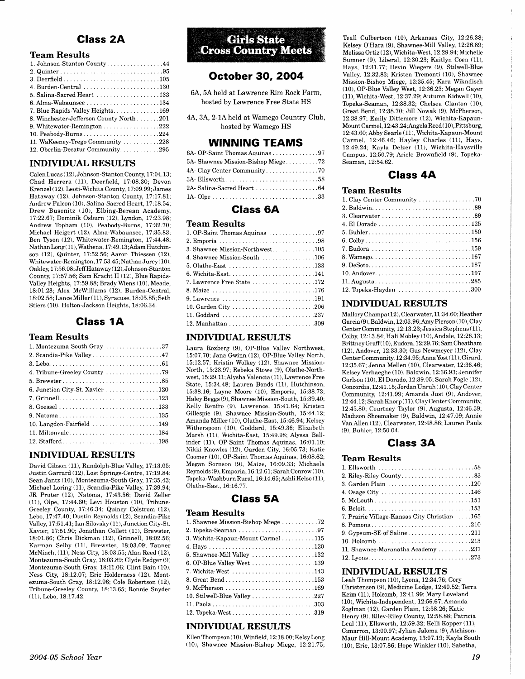# Glass 2A

#### Team Results

| 1. Johnson-Stanton County44              |
|------------------------------------------|
|                                          |
|                                          |
| 4. Burden-Central 130                    |
| 5. Salina-Sacred Heart 133               |
|                                          |
| 7. Blue Rapids-Valley Heights. 169       |
| 8. Winchester-Jefferson County North 201 |
| 9. Whitewater-Remington 222              |
| 10. Peabody-Burns224                     |
| 11. WaKeeney-Trego Community 228         |
| 12. Oberlin-Decatur Community295         |
|                                          |

#### INDTYIDUAL RESULTS

Calen Lucas (12), Johnson-Stanton County, 17:04.13; Chad Herrera (11), Deerfield, 17:08.30; Devon Krenzel ( 12), Leoti-Wichita County, 17:09.99;James Hataway (12), Johnson-Stanton County, 17:17.81; Andrew Falcon (10), Salina-Sacred Heart, 17:18.54; Drew Busenitz (10), Elbing-Berean Academy, 17:22.67; Dominik Osburn (12), Lyndon, 17:23.98; Andrew Topham (10), Peabody-Burns, 17:32.70; Michael Heigert (12), Alma-Wabaunsee, 17:35.83; Ben Tyson (12), Whitewater-Remington, 17:44.48; Nathan Long (11), Wathena, 17:49.13; Adam Hutchinson (12), Quinter, 17:52.56; Aaron Thiessen (12), Whitewater-Remington, 17:53.45; Nathan Jurey( 10), Oakley, 17:56.08; Jeff Hataway ( 12). Johnson-Stanton County, 17:57.56; Sam Kracht II (12), Blue Rapids-Valley Heights, 17:59.88; Brady Wiens (10), Meade, 18:01.23; Alex McWilliams (12). Burden-Central, 18:02.58; Lance Miller (11), Syracuse, 18:05.85; Seth Stiers (10), Holton-Jackson Heights, 18:06.34.

## Glass 1A

## Team Results

| 1. Montezuma-South Gray 37                                            |
|-----------------------------------------------------------------------|
| 2. Scandia-Pike Valley 47                                             |
|                                                                       |
|                                                                       |
|                                                                       |
| 6. Junction City-St. Xavier 120                                       |
|                                                                       |
|                                                                       |
| 9. Natoma135                                                          |
| 10. Langdon-Fairfield $\ldots \ldots \ldots \ldots \ldots \ldots 149$ |
| 11. Miltonvale184                                                     |
| 12. Stafford198                                                       |

#### INDTYIDUAL RESULTS

David Gibson (11), Randolph-Blue Valley, 17:13.05; Justin Garrard (12), Lost Springs-Centre, 17:19.84; Sean Jantz (10), Montezuma-South Gray, 17:35.43; Michael Loring (11), Scandia-Pike Valley, 17:39.94; JR Pruter (12), Natoma, 17:43.56; David Zeller (11), Olpe, 17:44.60; Levi Houston (10), TFibune-Greeley County, 17:46.34; Quincy Colstrom (12), Lebo,IT:47 .40; Dustin Reynolds (12), Scandia-Pike Valley, 17:51.41; Ian Silovsky (11), Junction City-St. Xavier, 17:51.90; Jonathan Collett (11), Brewster, 18:01.86; Chris Dickman (12), Grinnell, 18:02.56; Karman Selby (11), Brewster, 18:03.09; Tanner McNinch, (11), Ness City, 18:03.55;Alan Reed (12), Montezuma-South Gray, 18:03.89; Clyde Redger (9) Montezuma-South Gray, 18:11.06; Clint Bain (10), Ness City, 18:12.07; Eric Holderness (12), Montezuma-South Gray, 18:12.96; Cole Robertson (12), Tribune-Greeley County, 18:13.65; Ronnie Snyder (11), Lebo, 18:17.42.



## Octobet 30,2OO4

6A, 5A held at Lawrence Rim Rock Farm, hosted by Lawrence Free State HS

4A, 3A, 2-lAheld at Wamego Country Club, hosted by Wamego HS

#### WINNING TEAMS

| 6A-OP-Saint Thomas Aquinas 97     |  |
|-----------------------------------|--|
| 5A-Shawnee Mission-Bishop Miege72 |  |
|                                   |  |
|                                   |  |
|                                   |  |
|                                   |  |

## Glass 6A

#### Team Results

| 1. OP-Saint Thomas Aquinas 97   |
|---------------------------------|
|                                 |
| 3. Shawnee Mission-Northwest105 |
| 4. Shawnee Mission-South 106    |
|                                 |
| 6. Wichita-East141              |
| 7. Lawrence Free State 172      |
|                                 |
| 9. Lawrence 191                 |
|                                 |
|                                 |
|                                 |

#### INDIYIDUAL RESULTS

Laura Roxberg (9), OP-Blue Valley Northwest, 15:07.70; Jana Gwinn (12), OP-Blue Valley North, 15:12.57; Kristin Wolkey (12), Shawnee Mission-North, 15:23.97; Rebeka Stowe (9), Olathe-Northwest, 15:29.11; Alysha Valencia (11), Lawrence Free State, 15:34.48; Lauren Bonds (11), Hutchinson, 15:38.16; Layne Moore (10), Emporia, 15:38.73: Haley Beggs (9), Shawnee Mission-South, 15:39.40; Kelly Renfro (9), Lawrence, 15:41.64; Kristen Gillespie (9), Shawnee Mission-South, 15:44.12: Amanda Miller (10), Olathe-East, 15:46.94; Kelsey Witherspoon (10), Goddard, 15:49.36; Elizabeth Marsh (11), Wichita-East, 15:49.98; Alyssa Bellinder (11), OP-Saint Thomas Aquinas, 16:01.10; Nikki Knowles (12), Garden City, 16:05.73; Katie Coomer (10), OP-Saint Thomas Aquinas, 16:08.62; Megan Sornson (9), Maize, 16:09.33: Michaela Reynolds (9), Emporia, 16:12.61;Sarah Conrow ( 10), Topeka-Washburn Rural, 16 : 14.65 ; Ashli Kelso ( 11 ), Olathe-East, 16:16.77.

## Glass 5A

#### Team Results

| 1. Shawnee Mission-Bishop Miege 72                                 |
|--------------------------------------------------------------------|
|                                                                    |
| 3. Wichita-Kapaun-Mount Carmel 115                                 |
|                                                                    |
| 5. Shawnee-Mill Valley 132                                         |
|                                                                    |
| 7. Wichita-West 143                                                |
|                                                                    |
|                                                                    |
| 10. Stilwell-Blue Valley $\dots\dots\dots\dots\dots\dots\dots 227$ |
|                                                                    |
|                                                                    |

#### INDTYIDUAL RESULTS

 $Ellen Thompson (10), Winfield, 12:18.00; Kelsy Long$  $(10)$ , Shawnee Mission-Bishop Miege,  $12:21.75$ ;

Teall Culbertson (10), Arkansas City, 12:26.38; Kelsey O'Hara (9), Shawnee-Mill Valley, 12:26.89; Melissa Ortiz (12), Wichita-West, 12:29.94; Michelle Sumner (9), Liberal, 12:30.23; Kaitlyn Coen (11), Hays, 12:31.77; Devin Wiegers (9), Stilwell-Blue Valley, 12:32.83; Kristen Tremonti (10), Shawnee Mission-Bishop Miege, 12:35.45; Kara Wikndisch (10), OP-BIue Valley West, 12:36.23; Megan Gayer (11), Wichita-West, 12:37.29; Autumn Kidwell (10), Topeka-Seaman, 12:38.32; Chelsea Clanton (10), Great Bend, 12:38.70; Jill Nowak (9), McPherson, 12:38.97 ; Emily Dittemore ( 12), Wichita-Kapaun-Mount Carmel, 12:43.24; Angela Reed (10), Pittsburg, 12:43.60; Abby Searle (11), Wichita-Kapaun-Mount Carmel, 12:46.46; Hayley Charles (11), Hays, 12:49.24; Kayla Delzer (11), Wichita-Haysville Campus, 72:50.79; Ariele Brownfield (9), Topeka-Seaman, 12:54.62.

Class 4A

#### Team Results

| 1. Clay Center Community 70 |
|-----------------------------|
|                             |
|                             |
|                             |
|                             |
|                             |
|                             |
| 8. Wamego 167               |
|                             |
|                             |
|                             |
| 12. Topeka-Hayden 300       |

#### INDTYIDUAL RESULTS

Mallory Champa ( 12 ), Clearwater, 11 :34. 60 : Heather Garcia (9), Baldwin, 12:03.96;Amy Pierson ( 10), Clay Center Community, 12:13.23; Jessica Stephens (11), Colby, 12:13.84; Hali Mobley (10), Andale, 12:26.13; Brittney Graff (10), Eudora, 12:29.76; Sam Cheatham (12), Andover, 12:33.30; Gus Newmeyer (12), Clay Center Community, 12 :34.95; Anna Yost ( 11 ), Girard, 12:35.67 Jenna Mellen (10), Clearwater, 12:36.46; Kelsey Verhaeghe (10), Baldwin, 12:36.93; Jennifer Carlson (10), El Dorado, 12:39.05; Sarah Fogle (12), Concordia, 12:41.15;JordanUnruh ( 10 ), Clay Center Community, 12:41.99; Amanda Just (9), Andover, 12:44.12; Sarah Knorp ( 11), CIay Center Community, 1245.80; Courtney Taylor (9), Augusta, 12:46.39; Madison Shoemaker (9), Baldwin, 12:47.09; Annie VanAllen (12), Clearwater, \2:48.86; Lauren Pauls (9), Buhler, 12:50.04.

# Glass 3A

## Team Results

| 7. Prairie Village-Kansas City Christian 165 |
|----------------------------------------------|
| 8. Pomona210                                 |
|                                              |
|                                              |
| 11. Shawnee-Maranatha Academy 237            |
|                                              |

#### INDTYIDUAL RESULTS

Leah Thompson (10), Lyons, 12:34.76; Cory Christensen (9), Medicine Lodge, 12:40.52; Terra Keim (11), Holcomb, 12:41.99; Mary Loveland ( 10), Wichita-Independent, 12:56.67 :Amanda Zoglman (12), Garden Plain, 12:58.26; Katie Henry (9), Riley-Riley County, 12:58.88; Patricia Leal (11), Ellsworth, 12:59.32; Kelli Kopper (11), Cimarron, 13:00.97; Jylian Jaloma (9), Atchison-Maur Hill-Mount Academy, 13:07.19; Kayla South (10), Erie, 13:07.86; Hope Winkler (10), Sabetha,